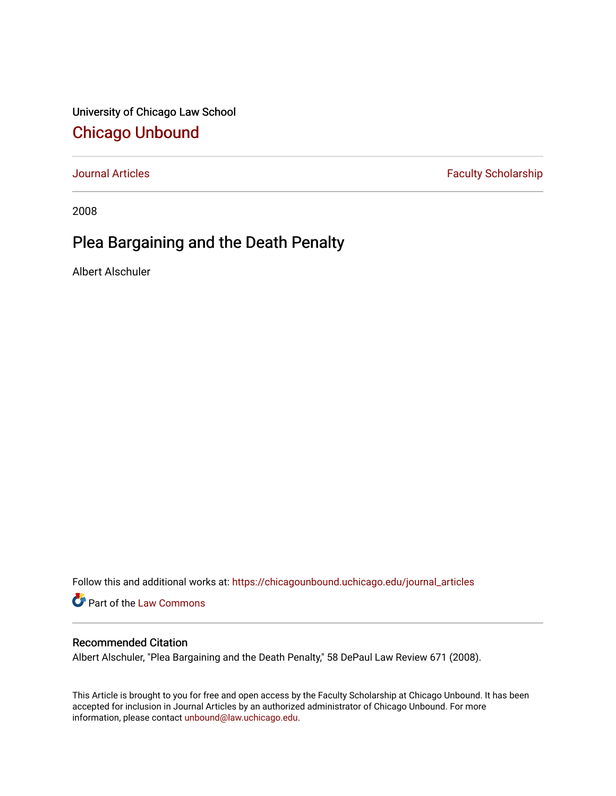University of Chicago Law School [Chicago Unbound](https://chicagounbound.uchicago.edu/)

[Journal Articles](https://chicagounbound.uchicago.edu/journal_articles) **Faculty Scholarship Faculty Scholarship** 

2008

# Plea Bargaining and the Death Penalty

Albert Alschuler

Follow this and additional works at: [https://chicagounbound.uchicago.edu/journal\\_articles](https://chicagounbound.uchicago.edu/journal_articles?utm_source=chicagounbound.uchicago.edu%2Fjournal_articles%2F991&utm_medium=PDF&utm_campaign=PDFCoverPages) 

Part of the [Law Commons](http://network.bepress.com/hgg/discipline/578?utm_source=chicagounbound.uchicago.edu%2Fjournal_articles%2F991&utm_medium=PDF&utm_campaign=PDFCoverPages)

# Recommended Citation

Albert Alschuler, "Plea Bargaining and the Death Penalty," 58 DePaul Law Review 671 (2008).

This Article is brought to you for free and open access by the Faculty Scholarship at Chicago Unbound. It has been accepted for inclusion in Journal Articles by an authorized administrator of Chicago Unbound. For more information, please contact [unbound@law.uchicago.edu](mailto:unbound@law.uchicago.edu).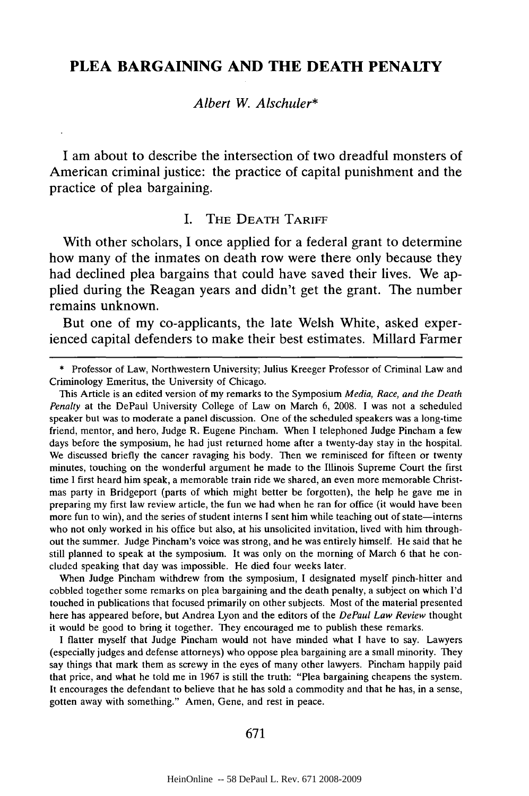# **PLEA BARGAINING AND THE DEATH PENALTY**

*Albert W. Alschuler\**

I am about to describe the intersection of two dreadful monsters of American criminal justice: the practice of capital punishment and the practice of plea bargaining.

## I. THE DEATH TARIFF

With other scholars, I once applied for a federal grant to determine how many of the inmates on death row were there only because they had declined plea bargains that could have saved their lives. We applied during the Reagan years and didn't get the grant. The number remains unknown.

But one of my co-applicants, the late Welsh White, asked experienced capital defenders to make their best estimates. Millard Farmer

\* Professor of Law, Northwestern University; Julius Kreeger Professor of Criminal Law and Criminology Emeritus, the University of Chicago.

This Article is an edited version of my remarks to the Symposium *Media, Race, and the Death Penalty* at the DePaul University College of Law on March 6, 2008. I was not a scheduled speaker but was to moderate a panel discussion. One of the scheduled speakers was a long-time friend, mentor, and hero, Judge R. Eugene Pincham. When **I** telephoned Judge Pincham a few days before the symposium, he had just returned home after a twenty-day stay in the hospital. We discussed briefly the cancer ravaging his body. Then we reminisced for fifteen or twenty minutes, touching on the wonderful argument he made to the Illinois Supreme Court the first time I first heard him speak, a memorable train ride we shared, an even more memorable Christmas party in Bridgeport (parts of which might better be forgotten), the help he gave me in preparing my first law review article, the fun we had when he ran for office (it would have been more fun to win), and the series of student interns I sent him while teaching out of state-interns who not only worked in his office but also, at his unsolicited invitation, lived with him throughout the summer. Judge Pincham's voice was strong, and he was entirely himself. He said that he still planned to speak at the symposium. It was only on the morning of March 6 that he concluded speaking that day was impossible. He died four weeks later.

When Judge Pincham withdrew from the symposium, I designated myself pinch-hitter and cobbled together some remarks on plea bargaining and the death penalty, a subject on which I'd touched in publications that focused primarily on other subjects. Most of the material presented here has appeared before, but Andrea Lyon and the editors of the *DePaul Law Review* thought it would be good to bring it together. They encouraged me to publish these remarks.

I flatter myself that Judge Pincham would not have minded what **I** have to say. Lawyers (especially judges and defense attorneys) who oppose plea bargaining are a small minority. They say things that mark them as screwy in the eyes of many other lawyers. Pincham happily paid that price, and what he told me in 1967 is still the truth: "Plea bargaining cheapens the system. It encourages the defendant to believe that he has sold a commodity and that he has, in a sense, gotten away with something." Amen, Gene, and rest in peace.

#### 671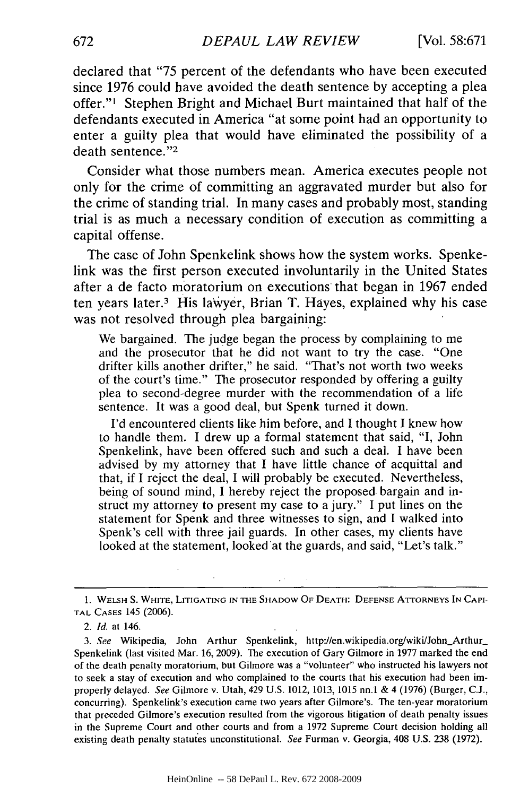declared that **"75** percent of the defendants who have been executed since 1976 could have avoided the death sentence by accepting a plea offer."' Stephen Bright and Michael Burt maintained that half of the defendants executed in America "at some point had an opportunity to enter a guilty plea that would have eliminated the possibility of a death sentence."<sup>2</sup>

Consider what those numbers mean. America executes people not only for the crime of committing an aggravated murder but also for the crime of standing trial. In many cases and probably most, standing trial is as much a necessary condition of execution as committing a capital offense.

The case of John Spenkelink shows how the system works. Spenkelink was the first person executed involuntarily in the United States after a de facto moratorium on executions that began in 1967 ended ten years later.3 His lawyer, Brian T. Hayes, explained why his case was not resolved through plea bargaining:

We bargained. The judge began the process by complaining to me and the prosecutor that he did not want to try the case. "One drifter kills another drifter," he said. "That's not worth two weeks of the court's time." The prosecutor responded by offering a guilty plea to second-degree murder with the recommendation of a life sentence. It was a good deal, but Spenk turned it down.

I'd encountered clients like him before, and I thought I knew how to handle them. I drew up a formal statement that said, "I, John Spenkelink, have been offered such and such a deal. I have been advised by my attorney that I have little chance of acquittal and that, if I reject the deal, I will probably be executed. Nevertheless, being of sound mind, I hereby reject the proposed bargain and instruct my attorney to present my case to a jury." I put lines on the statement for Spenk and three witnesses to sign, and I walked into Spenk's cell with three jail guards. In other cases, my clients have looked at the statement, looked at the guards, and said, "Let's talk."

1. WELSH S. WHITE, LITIGATING **IN** THE SHADOW OF **DEATH: DEFENSE** ATTORNEYS IN CAPI-TAL **CASES** 145 (2006).

 $\epsilon^{-1}$ 

*2. Id.* at 146.

3. See Wikipedia, John Arthur Spenkelink, http://en.wikipedia.org/wiki/John\_Arthur\_ Spenkelink (last visited Mar. 16, 2009). The execution of Gary Gilmore in 1977 marked the end of the death penalty moratorium, but Gilmore was a "volunteer" who instructed his lawyers not to seek a stay of execution and who complained to the courts that his execution had been improperly delayed. *See* Gilmore v. Utah, 429 U.S. 1012, 1013, 1015 nn.1 & 4 (1976) (Burger, C.J., concurring). Spenkelink's execution came two years after Gilmore's. The ten-year moratorium that preceded Gilmore's execution resulted from the vigorous litigation of death penalty issues in the Supreme Court and other courts and from a 1972 Supreme Court decision holding all existing death penalty statutes unconstitutional. *See* Furman v. Georgia, 408 U.S. 238 (1972).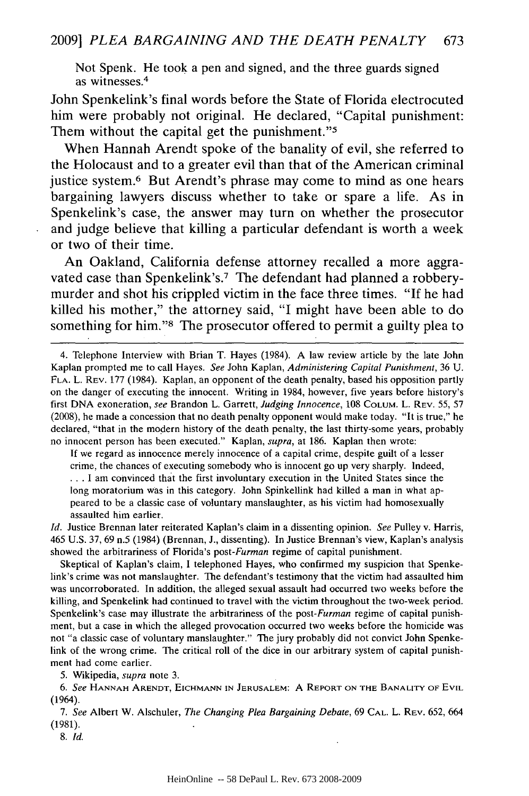Not Spenk. He took a pen and signed, and the three guards signed as witnesses.<sup>4</sup>

John Spenkelink's final words before the State of Florida electrocuted him were probably not original. He declared, "Capital punishment: Them without the capital get the punishment."<sup>5</sup>

When Hannah Arendt spoke of the banality of evil, she referred to the Holocaust and to a greater evil than that of the American criminal justice system.<sup>6</sup> But Arendt's phrase may come to mind as one hears bargaining lawyers discuss whether to take or spare a life. As in Spenkelink's case, the answer may turn on whether the prosecutor and judge believe that killing a particular defendant is worth a week or two of their time.

An Oakland, California defense attorney recalled a more aggravated case than Spenkelink's.<sup>7</sup> The defendant had planned a robberymurder and shot his crippled victim in the face three times. **"If** he had killed his mother," the attorney said, **"I** might have been able to do something for him."<sup>8</sup> The prosecutor offered to permit a guilty plea to

If we regard as innocence merely innocence of a capital crime, despite guilt of a lesser crime, the chances of executing somebody who is innocent go up very sharply. Indeed, **...** I am convinced that the first involuntary execution in the United States since the long moratorium was in this category. John Spinkellink had killed a man in what appeared to be a classic case of voluntary manslaughter, as his victim had homosexually assaulted him earlier.

*Id.* Justice Brennan later reiterated Kaplan's claim in a dissenting opinion. *See* Pulley v. Harris, 465 U.S. 37, 69 n.5 (1984) (Brennan, J., dissenting). In Justice Brennan's view, Kaplan's analysis showed the arbitrariness of Florida's *post-Furman* regime of capital punishment.

Skeptical of Kaplan's claim, I telephoned Hayes, who confirmed my suspicion that Spenkelink's crime was not manslaughter. The defendant's testimony that the victim had assaulted him was uncorroborated. In addition, the alleged sexual assault had occurred two weeks before the killing, and Spenkelink had continued to travel with the victim throughout the two-week period. Spenkelink's case may illustrate the arbitrariness of the *post-Furman* regime of capital punishment, but a case in which the alleged provocation occurred two weeks before the homicide was not "a classic case of voluntary manslaughter." The jury probably did not convict John Spenkelink of the wrong crime. The critical roll of the dice in our arbitrary system of capital punishment had come earlier.

5. Wikipedia, *supra* note 3.

*6. See* **HANNAH ARENDT, EICHMANN IN JERUSALEM: A** REPORT **ON THE BANALITY** OF **EVIL** (1964).

*7. See* Albert W. Alschuler, *The Changing Plea Bargaining Debate,* 69 **CAL.** L. REV. 652, 664 (1981).

*8. Id.*

<sup>4.</sup> Telephone Interview with Brian T. Hayes (1984). A law review article by the late John Kaplan prompted me to call Hayes. *See* John Kaplan, *Administering Capital Punishment,* 36 U. **FLA.** L. REV. 177 (1984). Kaplan, an opponent of the death penalty, based his opposition partly on the danger of executing the innocent. Writing in 1984, however, five years before history's first DNA exoneration, *see* Brandon L. Garrett, *Judging Innocence,* 108 COLUM. L. REV. 55, 57 (2008), he made a concession that no death penalty opponent would make today. "It is true," he declared, "that in the modern history of the death penalty, the last thirty-some years, probably no innocent person has been executed." Kaplan, *supra,* at 186. Kaplan then wrote: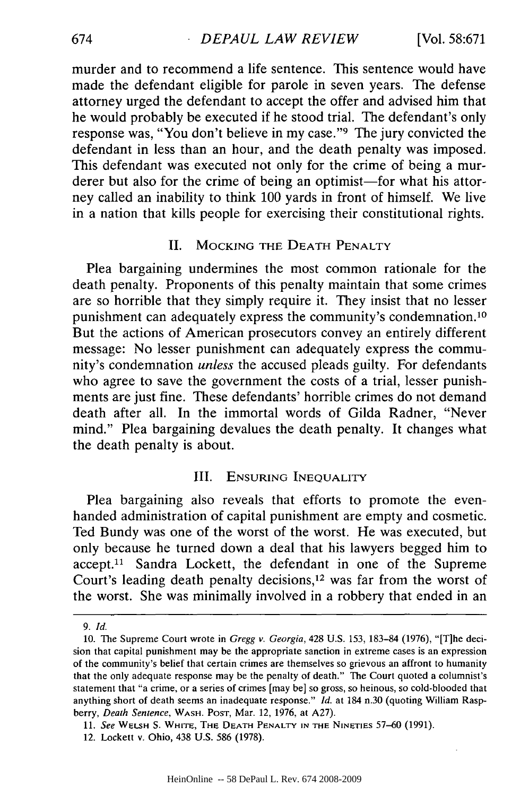murder and to recommend a life sentence. This sentence would have made the defendant eligible for parole in seven years. The defense attorney urged the defendant to accept the offer and advised him that he would probably be executed if he stood trial. The defendant's only response was, "You don't believe in my case."9 The jury convicted the defendant in less than an hour, and the death penalty was imposed. This defendant was executed not only for the crime of being a murderer but also for the crime of being an optimist—for what his attorney called an inability to think 100 yards in front of himself. We live in a nation that kills people for exercising their constitutional rights.

#### II. **MOCKING** THE **DEATH** PENALTY

Plea bargaining undermines the most common rationale for the death penalty. Proponents of this penalty maintain that some crimes are so horrible that they simply require it. They insist that no lesser punishment can adequately express the community's condemnation.<sup>10</sup> But the actions of American prosecutors convey an entirely different message: No lesser punishment can adequately express the community's condemnation *unless* the accused pleads guilty. For defendants who agree to save the government the costs of a trial, lesser punishments are just fine. These defendants' horrible crimes do not demand death after all. In the immortal words of Gilda Radner, "Never mind." Plea bargaining devalues the death penalty. It changes what the death penalty is about.

## III. **ENSURING INEQUALITY**

Plea bargaining also reveals that efforts to promote the evenhanded administration of capital punishment are empty and cosmetic. Ted Bundy was one of the worst of the worst. He was executed, but only because he turned down a deal that his lawyers begged him to accept.<sup>11</sup> Sandra Lockett, the defendant in one of the Supreme Court's leading death penalty decisions,<sup>12</sup> was far from the worst of the worst. She was minimally involved in a robbery that ended in an

674

*<sup>9.</sup> Id.*

<sup>10.</sup> The Supreme Court wrote in *Gregg v. Georgia,* 428 U.S. 153, 183-84 (1976), "[T]he decision that capital punishment may be the appropriate sanction in extreme cases is an expression of the community's belief that certain crimes are themselves so grievous an affront to humanity that the only adequate response may be the penalty of death." The Court quoted a columnist's statement that "a crime, or a series of crimes [may be] so gross, so heinous, so cold-blooded that anything short of death seems an inadequate response." *Id.* at 184 n.30 (quoting William Raspberry, *Death Sentence,* WASH. **POST,** Mar. 12, 1976, at A27).

**<sup>11.</sup>** *See* WELSH **S.** WHITE, THE **DEATH** PENALTY **IN** THE NINETIES 57-60 (1991).

<sup>12.</sup> Lockett v. Ohio, 438 **U.S. 586 (1978).**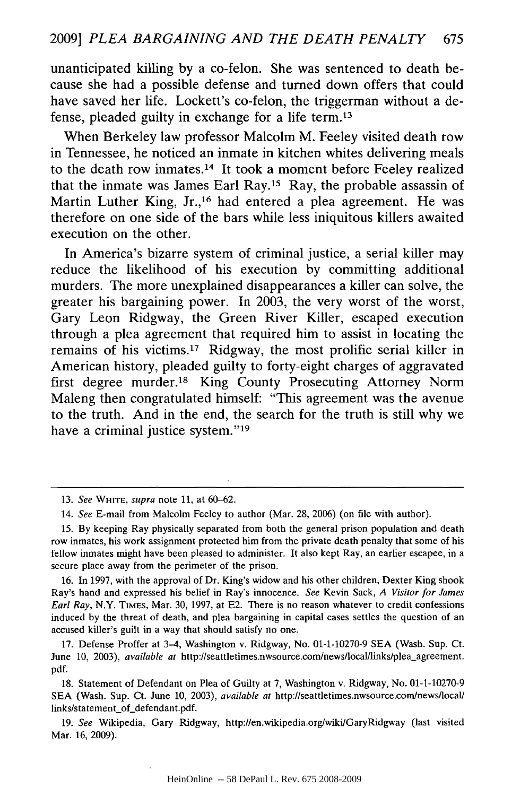unanticipated killing by a co-felon. She was sentenced to death because she had a possible defense and turned down offers that could have saved her life. Lockett's co-felon, the triggerman without a defense, pleaded guilty in exchange for a life term.<sup>13</sup>

When Berkeley law professor Malcolm M. Feeley visited death row in Tennessee, he noticed an inmate in kitchen whites delivering meals to the death row inmates.14 It took a moment before Feeley realized that the inmate was James Earl Ray.15 Ray, the probable assassin of Martin Luther King, Jr.,<sup>16</sup> had entered a plea agreement. He was therefore on one side of the bars while less iniquitous killers awaited execution on the other.

In America's bizarre system of criminal justice, a serial killer may reduce the likelihood of his execution by committing additional murders. The more unexplained disappearances a killer can solve, the greater his bargaining power. In 2003, the very worst of the worst, Gary Leon Ridgway, the Green River Killer, escaped execution through a plea agreement that required him to assist in locating the remains of his victims.<sup>17</sup> Ridgway, the most prolific serial killer in American history, pleaded guilty to forty-eight charges of aggravated first degree murder.18 King County Prosecuting Attorney Norm Maleng then congratulated himself: "This agreement was the avenue to the truth. And in the end, the search for the truth is still why we have a criminal justice system."<sup>19</sup>

<sup>13.</sup> *See* WHITE, *supra* note 11, at 60-62.

<sup>14.</sup> *See* E-mail from Malcolm Feeley to author (Mar. 28, 2006) (on file with author).

<sup>15.</sup> By keeping Ray physically separated from both the general prison population and death row inmates, his work assignment protected him from the private death penalty that some of his fellow inmates might have been pleased to administer. It also kept Ray, an earlier escapee, in a secure place away from the perimeter of the prison.

<sup>16.</sup> In 1997, with the approval of Dr. King's widow and his other children, Dexter King shook Ray's hand and expressed his belief in Ray's innocence. *See* Kevin Sack, *A Visitor for James Earl Ray,* N.Y. **TIMES,** Mar. 30, 1997, at E2. There is no reason whatever to credit confessions induced by the threat of death, and plea bargaining in capital cases settles the question of an accused killer's guilt in a way that should satisfy no one.

<sup>17.</sup> Defense Proffer at 3-4, Washington v. Ridgway, No. 01-1-10270-9 SEA (Wash. Sup. Ct. June 10, 2003), *available at http://seattletimes.nwsource.com/news/local/links/plea\_agreement.* pdf.

<sup>18.</sup> Statement of Defendant on Plea of Guilty at 7, Washington v. Ridgway, No. 01-1-10270-9 SEA (Wash. Sup. Ct. June 10, 2003), *available at http://seattletimes.nwsource.com/news/local/* links/statement\_of\_defendant.pdf.

<sup>19.</sup> *See* Wikipedia, Gary Ridgway, http://en.wikipedia.org/wiki/GaryRidgway (last visited Mar. 16, 2009).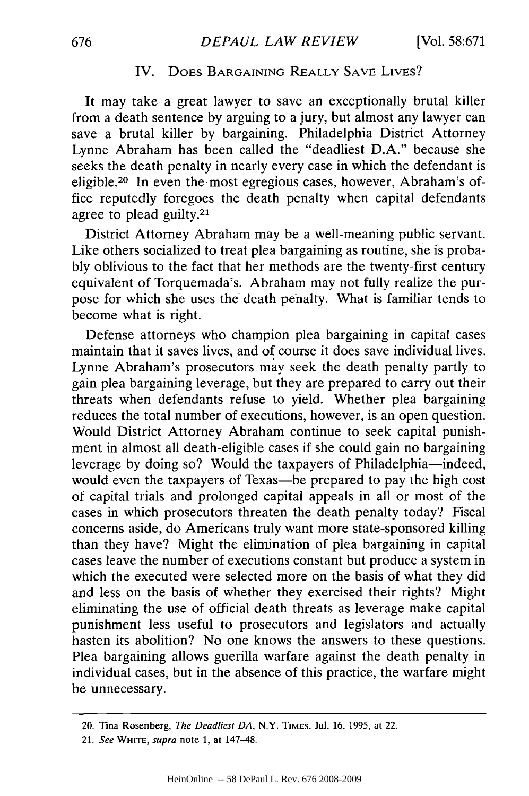# IV. DOES **BARGAINING** REALLY **SAVE** LIVES?

It may take a great lawyer to save an exceptionally brutal killer from a death sentence by arguing to a jury, but almost any lawyer can save a brutal killer by bargaining. Philadelphia District Attorney Lynne Abraham has been called the "deadliest D.A." because she seeks the death penalty in nearly every case in which the defendant is eligible.20 In even the most egregious cases, however, Abraham's office reputedly foregoes the death penalty when capital defendants agree to plead guilty.<sup>21</sup>

District Attorney Abraham may be a well-meaning public servant. Like others socialized to treat plea bargaining as routine, she is probably oblivious to the fact that her methods are the twenty-first century equivalent of Torquemada's. Abraham may not fully realize the purpose for which she uses the death penalty. What is familiar tends to become what is right.

Defense attorneys who champion plea bargaining in capital cases maintain that it saves lives, and of course it does save individual lives. Lynne Abraham's prosecutors may seek the death penalty partly to gain plea bargaining leverage, but they are prepared to carry out their threats when defendants refuse to yield. Whether plea bargaining reduces the total number of executions, however, is an open question. Would District Attorney Abraham continue to seek capital punishment in almost all death-eligible cases if she could gain no bargaining leverage by doing so? Would the taxpayers of Philadelphia—indeed, would even the taxpayers of Texas—be prepared to pay the high cost of capital trials and prolonged capital appeals in all or most of the cases in which prosecutors threaten the death penalty today? Fiscal concerns aside, do Americans truly want more state-sponsored killing than they have? Might the elimination of plea bargaining in capital cases leave the number of executions constant but produce a system in which the executed were selected more on the basis of what they did and less on the basis of whether they exercised their rights? Might eliminating the use of official death threats as leverage make capital punishment less useful to prosecutors and legislators and actually hasten its abolition? No one knows the answers to these questions. Plea bargaining allows guerilla warfare against the death penalty in individual cases, but in the absence of this practice, the warfare might be unnecessary.

<sup>20.</sup> Tina Rosenberg, *The Deadliest DA,* N.Y. **TIMES,** Jul. **16, 1995,** at 22.

<sup>21.</sup> *See WHrTE, supra* note **1,** at 147-48.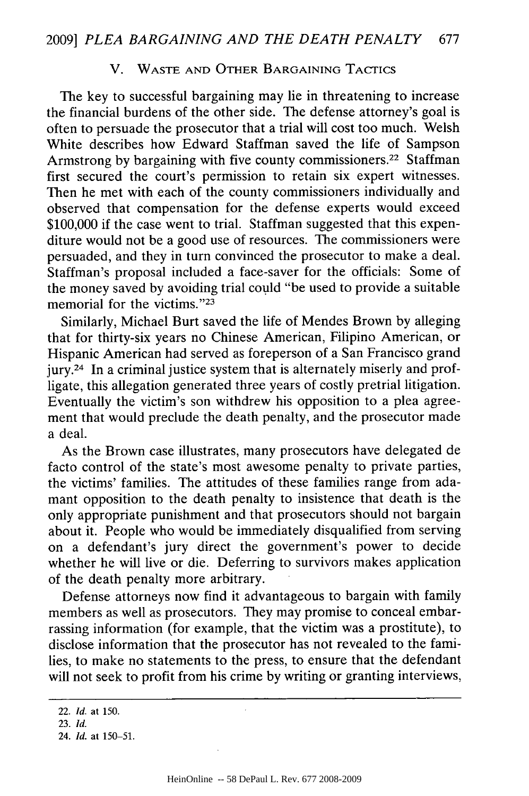## V. WASTE AND OTHER BARGAINING TACTICS

The key to successful bargaining may lie in threatening to increase the financial burdens of the other side. The defense attorney's goal is often to persuade the prosecutor that a trial will cost too much. Welsh White describes how Edward Staffman saved the life of Sampson Armstrong by bargaining with five county commissioners.<sup>22</sup> Staffman first secured the court's permission to retain six expert witnesses. Then he met with each of the county commissioners individually and observed that compensation for the defense experts would exceed \$100,000 if the case went to trial. Staffman suggested that this expenditure would not be a good use of resources. The commissioners were persuaded, and they in turn convinced the prosecutor to make a deal. Staffman's proposal included a face-saver for the officials: Some of the money saved by avoiding trial could "be used to provide a suitable memorial for the victims." $23$ 

Similarly, Michael Burt saved the life of Mendes Brown by alleging that for thirty-six years no Chinese American, Filipino American, or Hispanic American had served as foreperson of a San Francisco grand jury.24 In a criminal justice system that is alternately miserly and profligate, this allegation generated three years of costly pretrial litigation. Eventually the victim's son withdrew his opposition to a plea agreement that would preclude the death penalty, and the prosecutor made a deal.

As the Brown case illustrates, many prosecutors have delegated de facto control of the state's most awesome penalty to private parties, the victims' families. The attitudes of these families range from adamant opposition to the death penalty to insistence that death is the only appropriate punishment and that prosecutors should not bargain about it. People who would be immediately disqualified from serving on a defendant's jury direct the government's power to decide whether he will live or die. Deferring to survivors makes application of the death penalty more arbitrary.

Defense attorneys now find it advantageous to bargain with family members as well as prosecutors. They may promise to conceal embarrassing information (for example, that the victim was a prostitute), to disclose information that the prosecutor has not revealed to the families, to make no statements to the press, to ensure that the defendant will not seek to profit from his crime by writing or granting interviews,

<sup>22.</sup> *Id.* at 150.

<sup>23.</sup> *Id.*

<sup>24.</sup> *Id.* at 150-51.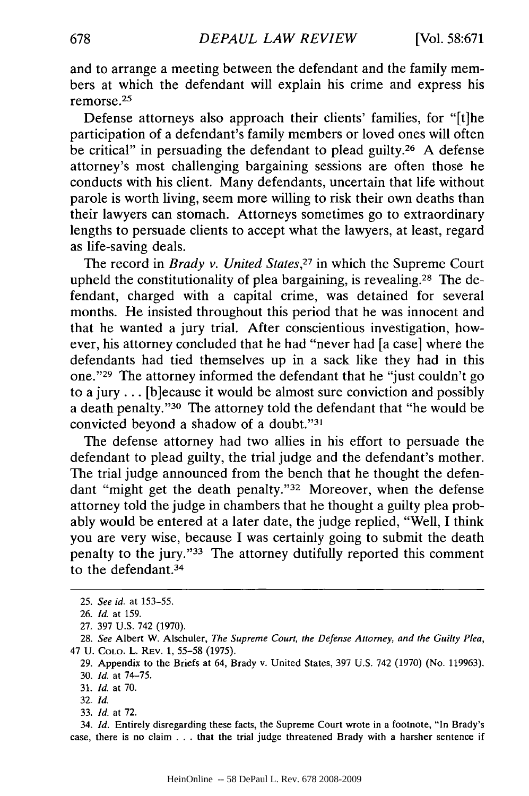and to arrange a meeting between the defendant and the family members at which the defendant will explain his crime and express his remorse.<sup>25</sup>

Defense attorneys also approach their clients' families, for "[t]he participation of a defendant's family members or loved ones will often be critical" in persuading the defendant to plead guilty.<sup>26</sup> A defense attorney's most challenging bargaining sessions are often those he conducts with his client. Many defendants, uncertain that life without parole is worth living, seem more willing to risk their own deaths than their lawyers can stomach. Attorneys sometimes go to extraordinary lengths to persuade clients to accept what the lawyers, at least, regard as life-saving deals.

The record in *Brady v. United States,27* in which the Supreme Court upheld the constitutionality of plea bargaining, is revealing.<sup>28</sup> The defendant, charged with a capital crime, was detained for several months. He insisted throughout this period that he was innocent and that he wanted a jury trial. After conscientious investigation, however, his attorney concluded that he had "never had [a case] where the defendants had tied themselves up in a sack like they had in this one."<sup>29</sup> The attorney informed the defendant that he "just couldn't go to a jury... [b]ecause it would be almost sure conviction and possibly a death penalty."<sup>30</sup> The attorney told the defendant that "he would be convicted beyond a shadow of a doubt."31

The defense attorney had two allies in his effort to persuade the defendant to plead guilty, the trial judge and the defendant's mother. The trial judge announced from the bench that he thought the defendant "might get the death penalty."<sup>32</sup> Moreover, when the defense attorney told the judge in chambers that he thought a guilty plea probably would be entered at a later date, the judge replied, "Well, I think you are very wise, because I was certainly going to submit the death penalty to the jury. '33 The attorney dutifully reported this comment to the defendant.<sup>34</sup>

32. *Id.*

34. *Id.* Entirely disregarding these facts, the Supreme Court wrote in a footnote, "In Brady's case, there **is no** claim . . . that the trial **judge** threatened Brady with a harsher sentence if

<sup>25.</sup> *See id.* at 153-55.

**<sup>26.</sup>** *Id.* at 159.

<sup>27. 397</sup> U.S. 742 (1970).

<sup>28.</sup> See Albert W. Alschuler, *The Supreme* Court, the *Defense Attorney, and the Guilty Plea,* 47 U. COLO. L. **REV.** 1, 55-58 **(1975).**

<sup>29.</sup> Appendix to the Briefs at 64, Brady v. United States, 397 U.S. 742 (1970) (No. 119963).

<sup>30.</sup> *Id.* at 74-75.

<sup>31.</sup> *Id.* at 70.

<sup>33.</sup> *Id.* at **72.**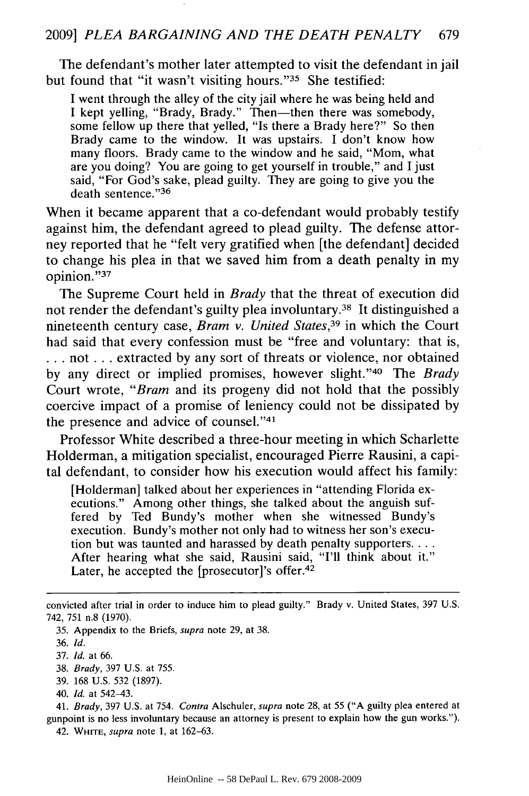The defendant's mother later attempted to visit the defendant in jail but found that "it wasn't visiting hours."<sup>35</sup> She testified:

I went through the alley of the city jail where he was being held and I kept yelling, "Brady, Brady." Then—then there was somebody, some fellow up there that yelled, "Is there a Brady here?" So then Brady came to the window. It was upstairs. I don't know how many floors. Brady came to the window and he said, "Mom, what are you doing? You are going to get yourself in trouble," and I just said, "For God's sake, plead guilty. They are going to give you the death sentence."36

When it became apparent that a co-defendant would probably testify against him, the defendant agreed to plead guilty. The defense attorney reported that he "felt very gratified when [the defendant] decided to change his plea in that we saved him from a death penalty in my opinion."37

The Supreme Court held in *Brady* that the threat of execution did not render the defendant's guilty plea involuntary. 38 It distinguished a nineteenth century case, *Bram v. United States,39* in which the Court had said that every confession must be "free and voluntary: that is, **...** not... extracted by any sort of threats or violence, nor obtained by any direct or implied promises, however slight."<sup>40</sup> The *Brady* Court wrote, *"Bram* and its progeny did not hold that the possibly coercive impact of a promise of leniency could not be dissipated by the presence and advice of counsel."41

Professor White described a three-hour meeting in which Scharlette Holderman, a mitigation specialist, encouraged Pierre Rausini, a capital defendant, to consider how his execution would affect his family:

[Holderman] talked about her experiences in "attending Florida executions." Among other things, she talked about the anguish suffered by Ted Bundy's mother when she witnessed Bundy's execution. Bundy's mother not only had to witness her son's execution but was taunted and harassed by death penalty supporters.... After hearing what she said, Rausini said, "I'll think about it." Later, he accepted the [prosecutor]'s offer.<sup>42</sup>

- 38. *Brady,* 397 U.S. at 755.
- 39. 168 U.S. 532 (1897).
- 40. *Id.* at 542-43.

41. *Brady,* 397 U.S. at 754. *Contra* Alsehuler, *supra* note 28, at 55 ("A guilty plea entered at gunpoint is no less involuntary because an attorney is present to explain how the gun works."). 42. WnrTE, *supra* note 1, at 162-63.

convicted after trial in order to induce him to plead guilty." Brady v. United States, 397 U.S. 742, 751 n.8 (1970).

<sup>35.</sup> Appendix to the Briefs, supra note 29, at 38.

<sup>36.</sup> *Id.*

<sup>37.</sup> *Id.* at 66.